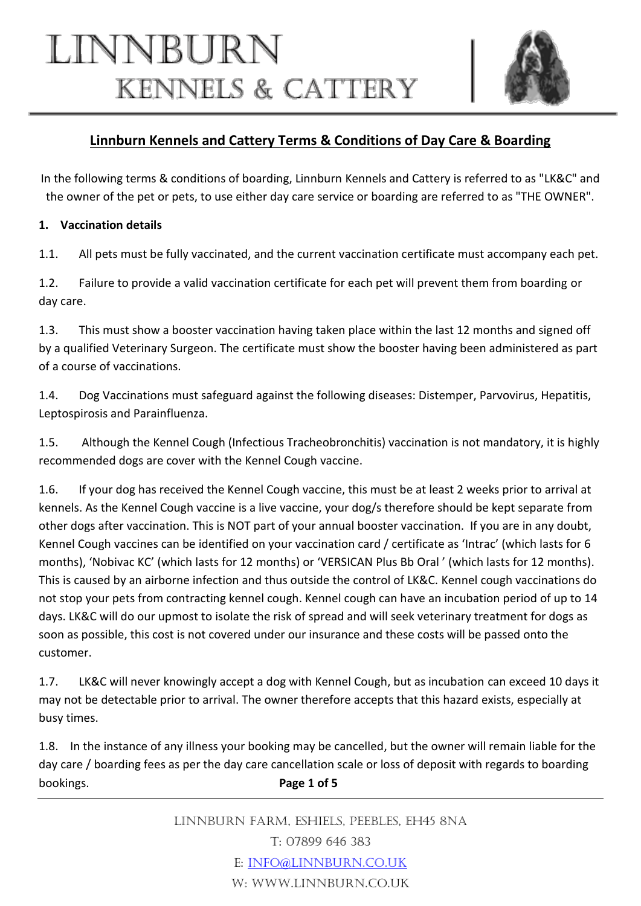# LINNBURN **KENNELS & CATTERY**



# **Linnburn Kennels and Cattery Terms & Conditions of Day Care & Boarding**

In the following terms & conditions of boarding, Linnburn Kennels and Cattery is referred to as "LK&C" and the owner of the pet or pets, to use either day care service or boarding are referred to as "THE OWNER".

# **1. Vaccination details**

1.1. All pets must be fully vaccinated, and the current vaccination certificate must accompany each pet.

1.2. Failure to provide a valid vaccination certificate for each pet will prevent them from boarding or day care.

1.3. This must show a booster vaccination having taken place within the last 12 months and signed off by a qualified Veterinary Surgeon. The certificate must show the booster having been administered as part of a course of vaccinations.

1.4. Dog Vaccinations must safeguard against the following diseases: Distemper, Parvovirus, Hepatitis, Leptospirosis and Parainfluenza.

1.5. Although the Kennel Cough (Infectious Tracheobronchitis) vaccination is not mandatory, it is highly recommended dogs are cover with the Kennel Cough vaccine.

1.6. If your dog has received the Kennel Cough vaccine, this must be at least 2 weeks prior to arrival at kennels. As the Kennel Cough vaccine is a live vaccine, your dog/s therefore should be kept separate from other dogs after vaccination. This is NOT part of your annual booster vaccination. If you are in any doubt, Kennel Cough vaccines can be identified on your vaccination card / certificate as 'Intrac' (which lasts for 6 months), 'Nobivac KC' (which lasts for 12 months) or 'VERSICAN Plus Bb Oral ' (which lasts for 12 months). This is caused by an airborne infection and thus outside the control of LK&C. Kennel cough vaccinations do not stop your pets from contracting kennel cough. Kennel cough can have an incubation period of up to 14 days. LK&C will do our upmost to isolate the risk of spread and will seek veterinary treatment for dogs as soon as possible, this cost is not covered under our insurance and these costs will be passed onto the customer.

1.7. LK&C will never knowingly accept a dog with Kennel Cough, but as incubation can exceed 10 days it may not be detectable prior to arrival. The owner therefore accepts that this hazard exists, especially at busy times.

1.8. In the instance of any illness your booking may be cancelled, but the owner will remain liable for the day care / boarding fees as per the day care cancellation scale or loss of deposit with regards to boarding bookings. **Page 1 of 5**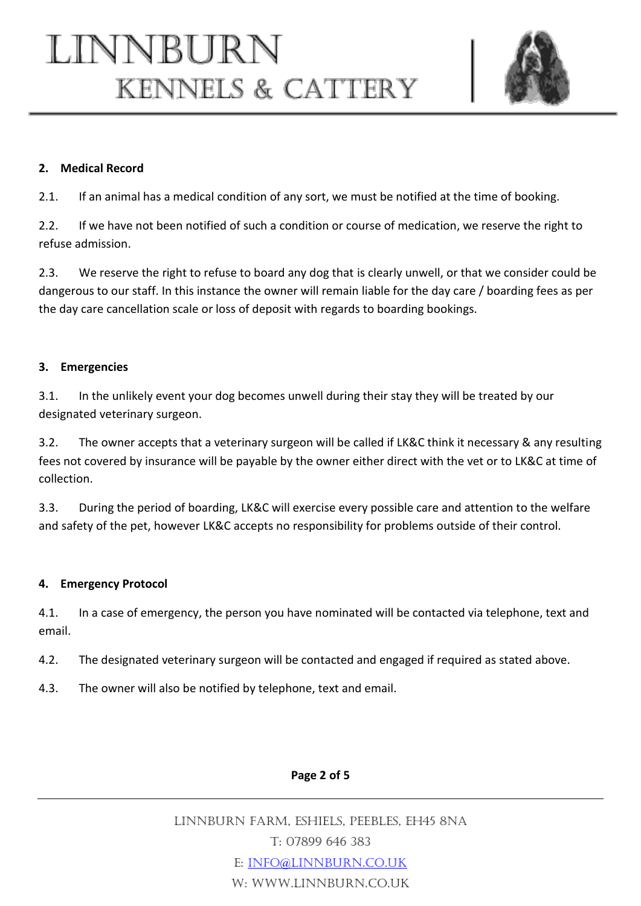

#### **2. Medical Record**

2.1. If an animal has a medical condition of any sort, we must be notified at the time of booking.

2.2. If we have not been notified of such a condition or course of medication, we reserve the right to refuse admission.

2.3. We reserve the right to refuse to board any dog that is clearly unwell, or that we consider could be dangerous to our staff. In this instance the owner will remain liable for the day care / boarding fees as per the day care cancellation scale or loss of deposit with regards to boarding bookings.

#### **3. Emergencies**

3.1. In the unlikely event your dog becomes unwell during their stay they will be treated by our designated veterinary surgeon.

3.2. The owner accepts that a veterinary surgeon will be called if LK&C think it necessary & any resulting fees not covered by insurance will be payable by the owner either direct with the vet or to LK&C at time of collection.

3.3. During the period of boarding, LK&C will exercise every possible care and attention to the welfare and safety of the pet, however LK&C accepts no responsibility for problems outside of their control.

#### **4. Emergency Protocol**

4.1. In a case of emergency, the person you have nominated will be contacted via telephone, text and email.

4.2. The designated veterinary surgeon will be contacted and engaged if required as stated above.

4.3. The owner will also be notified by telephone, text and email.

# **Page 2 of 5**

Linnburn Farm, Eshiels, Peebles, EH45 8NA T: 07899 646 383 E: [info@linnburn.co.uk](mailto:info@linnburn.co.uk) W: www.linnburn.co.uk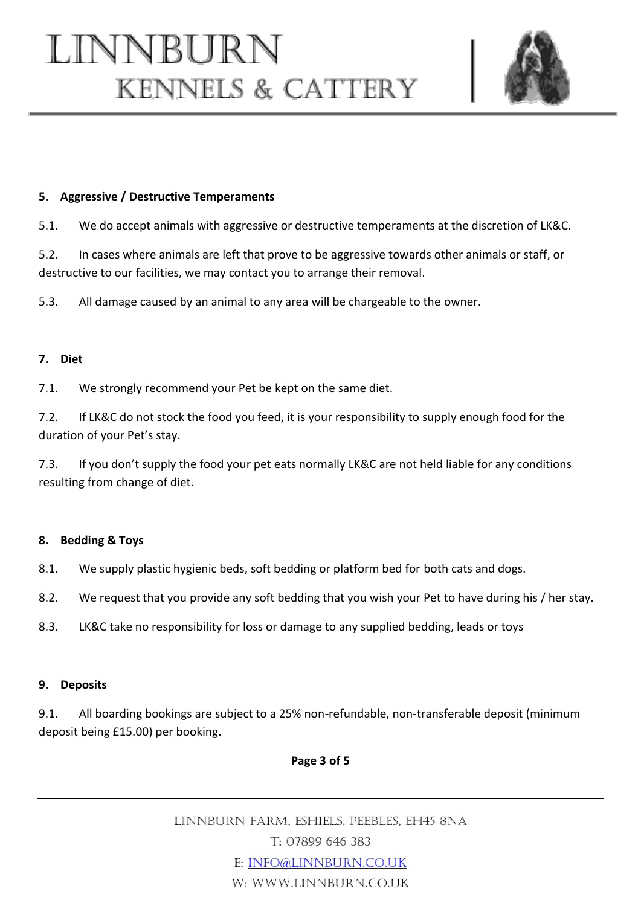

#### **5. Aggressive / Destructive Temperaments**

5.1. We do accept animals with aggressive or destructive temperaments at the discretion of LK&C.

5.2. In cases where animals are left that prove to be aggressive towards other animals or staff, or destructive to our facilities, we may contact you to arrange their removal.

5.3. All damage caused by an animal to any area will be chargeable to the owner.

#### **7. Diet**

7.1. We strongly recommend your Pet be kept on the same diet.

7.2. If LK&C do not stock the food you feed, it is your responsibility to supply enough food for the duration of your Pet's stay.

7.3. If you don't supply the food your pet eats normally LK&C are not held liable for any conditions resulting from change of diet.

#### **8. Bedding & Toys**

8.1. We supply plastic hygienic beds, soft bedding or platform bed for both cats and dogs.

8.2. We request that you provide any soft bedding that you wish your Pet to have during his / her stay.

8.3. LK&C take no responsibility for loss or damage to any supplied bedding, leads or toys

#### **9. Deposits**

9.1. All boarding bookings are subject to a 25% non-refundable, non-transferable deposit (minimum deposit being £15.00) per booking.

# **Page 3 of 5**

Linnburn Farm, Eshiels, Peebles, EH45 8NA T: 07899 646 383 E: [info@linnburn.co.uk](mailto:info@linnburn.co.uk) W: www.linnburn.co.uk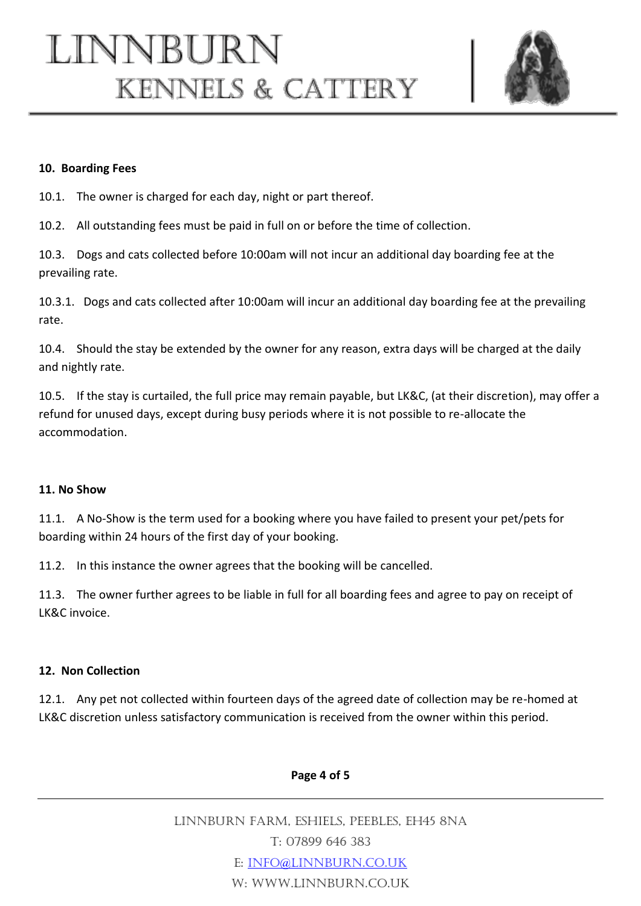

#### **10. Boarding Fees**

10.1. The owner is charged for each day, night or part thereof.

10.2. All outstanding fees must be paid in full on or before the time of collection.

10.3. Dogs and cats collected before 10:00am will not incur an additional day boarding fee at the prevailing rate.

10.3.1. Dogs and cats collected after 10:00am will incur an additional day boarding fee at the prevailing rate.

10.4. Should the stay be extended by the owner for any reason, extra days will be charged at the daily and nightly rate.

10.5. If the stay is curtailed, the full price may remain payable, but LK&C, (at their discretion), may offer a refund for unused days, except during busy periods where it is not possible to re-allocate the accommodation.

#### **11. No Show**

11.1. A No-Show is the term used for a booking where you have failed to present your pet/pets for boarding within 24 hours of the first day of your booking.

11.2. In this instance the owner agrees that the booking will be cancelled.

11.3. The owner further agrees to be liable in full for all boarding fees and agree to pay on receipt of LK&C invoice.

# **12. Non Collection**

12.1. Any pet not collected within fourteen days of the agreed date of collection may be re-homed at LK&C discretion unless satisfactory communication is received from the owner within this period.

# **Page 4 of 5**

Linnburn Farm, Eshiels, Peebles, EH45 8NA T: 07899 646 383 E: [info@linnburn.co.uk](mailto:info@linnburn.co.uk) W: WWW.LINNBURN.CO.UK